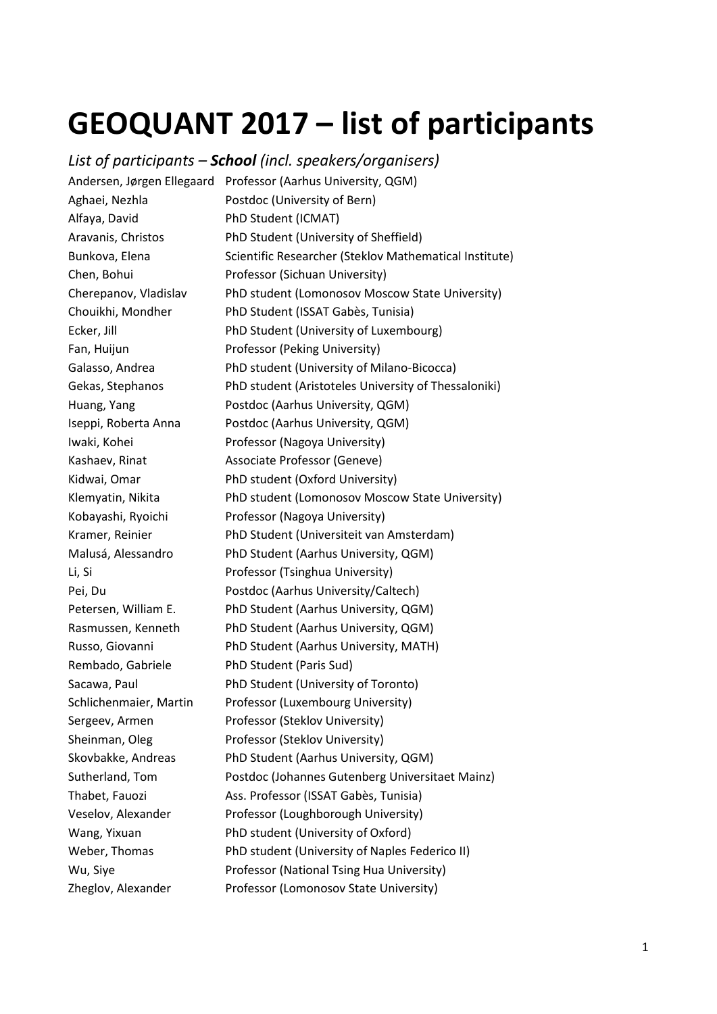## **GEOQUANT 2017 – list of participants**

## *List of participants – School (incl. speakers/organisers)*

Andersen, Jørgen Ellegaard Professor (Aarhus University, QGM) Alfaya, David PhD Student (ICMAT)

Aghaei, Nezhla Postdoc (University of Bern) Aravanis, Christos PhD Student (University of Sheffield) Bunkova, Elena Scientific Researcher (Steklov Mathematical Institute) Chen, Bohui Professor (Sichuan University) Cherepanov, Vladislav PhD student (Lomonosov Moscow State University) Chouikhi, Mondher PhD Student (ISSAT Gabès, Tunisia) Ecker, Jill PhD Student (University of Luxembourg) Fan, Huijun Professor (Peking University) Galasso, Andrea PhD student (University of Milano-Bicocca) Gekas, Stephanos PhD student (Aristoteles University of Thessaloniki) Huang, Yang Postdoc (Aarhus University, QGM) Iseppi, Roberta Anna Postdoc (Aarhus University, QGM) Iwaki, Kohei Professor (Nagoya University) Kashaev, Rinat Associate Professor (Geneve) Kidwai, Omar PhD student (Oxford University) Klemyatin, Nikita PhD student (Lomonosov Moscow State University) Kobayashi, Ryoichi Professor (Nagoya University) Kramer, Reinier PhD Student (Universiteit van Amsterdam) Malusá, Alessandro PhD Student (Aarhus University, QGM) Li, Si Professor (Tsinghua University) Pei, Du Postdoc (Aarhus University/Caltech) Petersen, William E. PhD Student (Aarhus University, QGM) Rasmussen, Kenneth PhD Student (Aarhus University, QGM) Russo, Giovanni PhD Student (Aarhus University, MATH) Rembado, Gabriele PhD Student (Paris Sud) Sacawa, Paul PhD Student (University of Toronto) Schlichenmaier, Martin Professor (Luxembourg University) Sergeev, Armen Professor (Steklov University) Sheinman, Oleg Professor (Steklov University) Skovbakke, Andreas PhD Student (Aarhus University, QGM) Sutherland, Tom Postdoc (Johannes Gutenberg Universitaet Mainz) Thabet, Fauozi Ass. Professor (ISSAT Gabès, Tunisia) Veselov, Alexander Professor (Loughborough University) Wang, Yixuan PhD student (University of Oxford) Weber, Thomas PhD student (University of Naples Federico II) Wu, Siye Professor (National Tsing Hua University) Zheglov, Alexander Professor (Lomonosov State University)